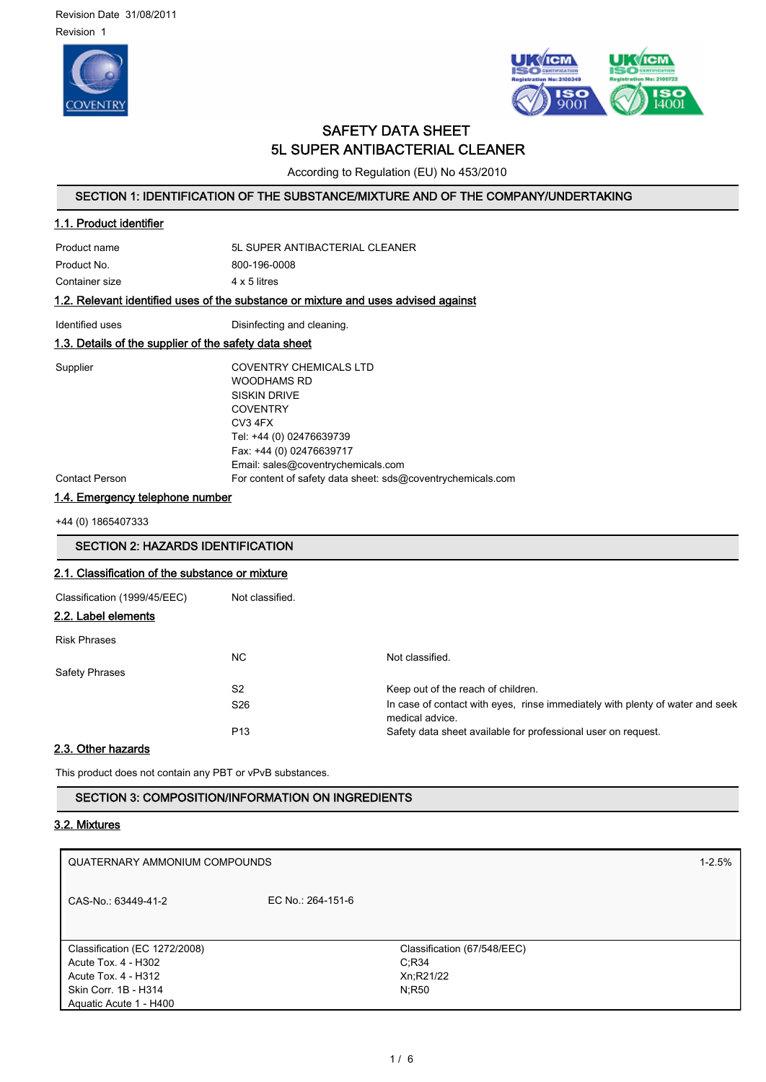



# SAFETY DATA SHEET 5L SUPER ANTIBACTERIAL CLEANER

According to Regulation (EU) No 453/2010

## SECTION 1: IDENTIFICATION OF THE SUBSTANCE/MIXTURE AND OF THE COMPANY/UNDERTAKING

| 1.1. Product identifier                               |                                                                                                                                                                                                 |  |  |  |
|-------------------------------------------------------|-------------------------------------------------------------------------------------------------------------------------------------------------------------------------------------------------|--|--|--|
| Product name                                          | 5L SUPER ANTIBACTERIAL CLEANER                                                                                                                                                                  |  |  |  |
| Product No.                                           | 800-196-0008                                                                                                                                                                                    |  |  |  |
| Container size                                        | 4 x 5 litres                                                                                                                                                                                    |  |  |  |
|                                                       | 1.2. Relevant identified uses of the substance or mixture and uses advised against                                                                                                              |  |  |  |
| Identified uses                                       | Disinfecting and cleaning.                                                                                                                                                                      |  |  |  |
| 1.3. Details of the supplier of the safety data sheet |                                                                                                                                                                                                 |  |  |  |
| Supplier                                              | COVENTRY CHEMICALS LTD<br><b>WOODHAMS RD</b><br><b>SISKIN DRIVE</b><br><b>COVENTRY</b><br>CV3 4FX<br>Tel: +44 (0) 02476639739<br>Fax: +44 (0) 02476639717<br>Email: sales@coventrychemicals.com |  |  |  |
| <b>Contact Person</b>                                 | For content of safety data sheet: sds@coventrychemicals.com                                                                                                                                     |  |  |  |

## 1.4. Emergency telephone number

+44 (0) 1865407333

# SECTION 2: HAZARDS IDENTIFICATION 2.1. Classification of the substance or mixture Classification (1999/45/EEC) Not classified. 2.2. Label elements Risk Phrases NC Not classified. Safety Phrases S2 Keep out of the reach of children. S26 **In case of contact with eyes, rinse immediately with plenty of water and seek** medical advice. P13 Safety data sheet available for professional user on request.

# 2.3. Other hazards

This product does not contain any PBT or vPvB substances.

## SECTION 3: COMPOSITION/INFORMATION ON INGREDIENTS

## 3.2. Mixtures

| QUATERNARY AMMONIUM COMPOUNDS |                   | $1 - 2.5%$                  |  |
|-------------------------------|-------------------|-----------------------------|--|
| CAS-No.: 63449-41-2           | EC No.: 264-151-6 |                             |  |
|                               |                   |                             |  |
| Classification (EC 1272/2008) |                   | Classification (67/548/EEC) |  |
| Acute Tox. 4 - H302           |                   | $C$ ;R34                    |  |
| Acute Tox. 4 - H312           |                   | Xn;R21/22                   |  |
| Skin Corr. 1B - H314          |                   | N:R50                       |  |
| Aguatic Acute 1 - H400        |                   |                             |  |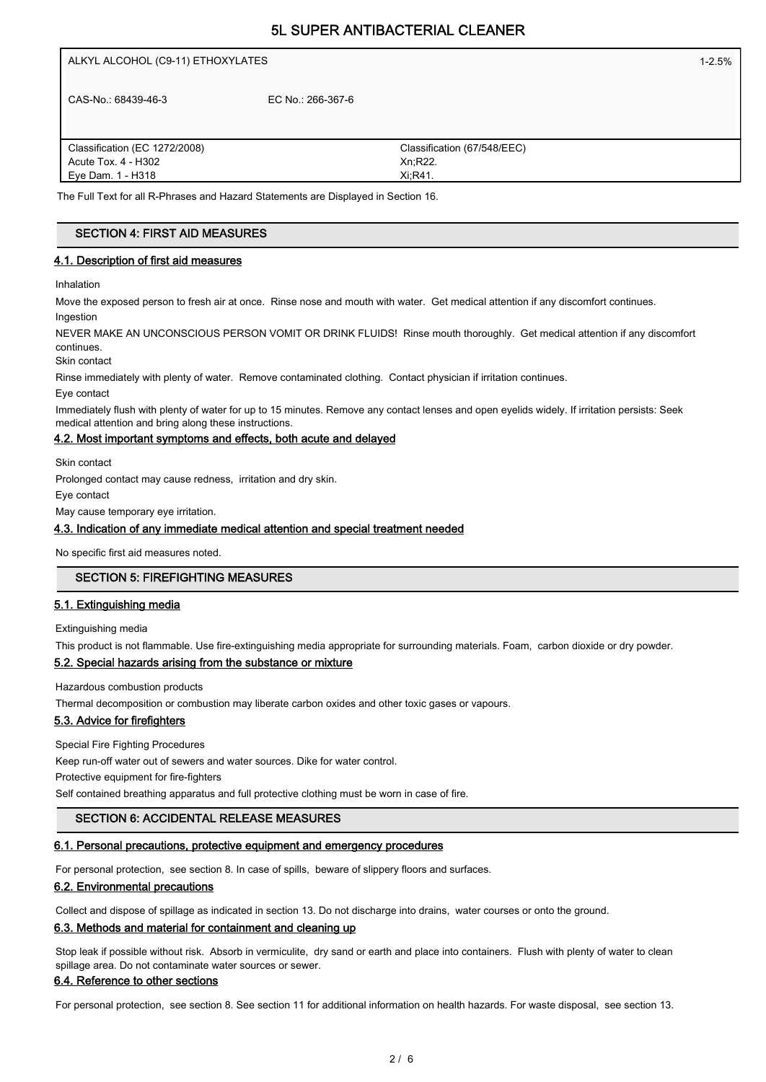| ALKYL ALCOHOL (C9-11) ETHOXYLATES |                   | $1 - 2.5%$                  |  |
|-----------------------------------|-------------------|-----------------------------|--|
| CAS-No.: 68439-46-3               | EC No.: 266-367-6 |                             |  |
| Classification (EC 1272/2008)     |                   | Classification (67/548/EEC) |  |
| Acute Tox. 4 - H302               |                   | Xn;R22.                     |  |
| Eye Dam. 1 - H318                 |                   | Xi, R41.                    |  |

# SECTION 4: FIRST AID MEASURES

# 4.1. Description of first aid measures

Inhalation

Move the exposed person to fresh air at once. Rinse nose and mouth with water. Get medical attention if any discomfort continues. Ingestion

NEVER MAKE AN UNCONSCIOUS PERSON VOMIT OR DRINK FLUIDS! Rinse mouth thoroughly. Get medical attention if any discomfort continues.

Skin contact

Rinse immediately with plenty of water. Remove contaminated clothing. Contact physician if irritation continues.

Eye contact

Immediately flush with plenty of water for up to 15 minutes. Remove any contact lenses and open eyelids widely. If irritation persists: Seek medical attention and bring along these instructions.

## 4.2. Most important symptoms and effects, both acute and delayed

Skin contact

Prolonged contact may cause redness, irritation and dry skin.

Eye contact

May cause temporary eye irritation.

## 4.3. Indication of any immediate medical attention and special treatment needed

No specific first aid measures noted.

## SECTION 5: FIREFIGHTING MEASURES

#### 5.1. Extinguishing media

Extinguishing media

This product is not flammable. Use fire-extinguishing media appropriate for surrounding materials. Foam, carbon dioxide or dry powder.

## 5.2. Special hazards arising from the substance or mixture

Hazardous combustion products

Thermal decomposition or combustion may liberate carbon oxides and other toxic gases or vapours.

#### 5.3. Advice for firefighters

Special Fire Fighting Procedures

Keep run-off water out of sewers and water sources. Dike for water control.

Protective equipment for fire-fighters

Self contained breathing apparatus and full protective clothing must be worn in case of fire.

## SECTION 6: ACCIDENTAL RELEASE MEASURES

#### 6.1. Personal precautions, protective equipment and emergency procedures

For personal protection, see section 8. In case of spills, beware of slippery floors and surfaces.

#### 6.2. Environmental precautions

Collect and dispose of spillage as indicated in section 13. Do not discharge into drains, water courses or onto the ground.

#### 6.3. Methods and material for containment and cleaning up

Stop leak if possible without risk. Absorb in vermiculite, dry sand or earth and place into containers. Flush with plenty of water to clean spillage area. Do not contaminate water sources or sewer.

## 6.4. Reference to other sections

For personal protection, see section 8. See section 11 for additional information on health hazards. For waste disposal, see section 13.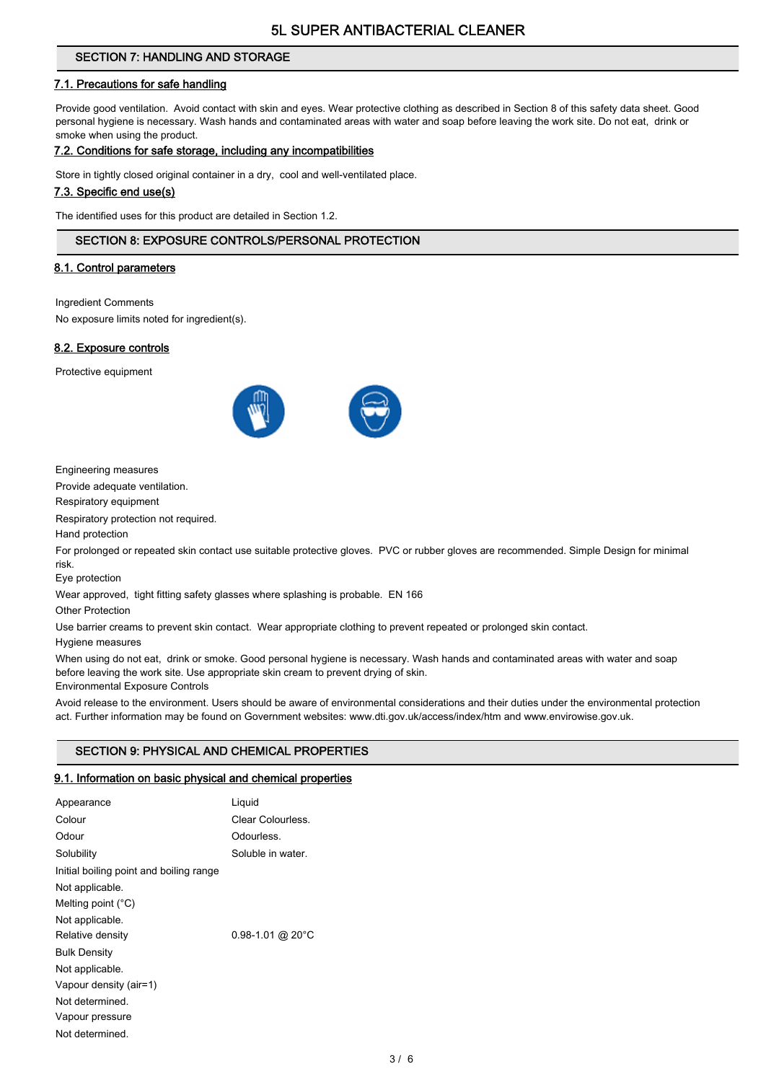## SECTION 7: HANDLING AND STORAGE

## 7.1. Precautions for safe handling

Provide good ventilation. Avoid contact with skin and eyes. Wear protective clothing as described in Section 8 of this safety data sheet. Good personal hygiene is necessary. Wash hands and contaminated areas with water and soap before leaving the work site. Do not eat, drink or smoke when using the product.

#### 7.2. Conditions for safe storage, including any incompatibilities

Store in tightly closed original container in a dry, cool and well-ventilated place.

#### 7.3. Specific end use(s)

The identified uses for this product are detailed in Section 1.2.

## SECTION 8: EXPOSURE CONTROLS/PERSONAL PROTECTION

#### 8.1. Control parameters

Ingredient Comments

No exposure limits noted for ingredient(s).

#### 8.2. Exposure controls

Protective equipment



Engineering measures

Provide adequate ventilation.

Respiratory equipment

Respiratory protection not required.

Hand protection

For prolonged or repeated skin contact use suitable protective gloves. PVC or rubber gloves are recommended. Simple Design for minimal risk.

Eye protection

Wear approved, tight fitting safety glasses where splashing is probable. EN 166

Other Protection

Use barrier creams to prevent skin contact. Wear appropriate clothing to prevent repeated or prolonged skin contact.

Hygiene measures

When using do not eat, drink or smoke. Good personal hygiene is necessary. Wash hands and contaminated areas with water and soap before leaving the work site. Use appropriate skin cream to prevent drying of skin.

Environmental Exposure Controls

Avoid release to the environment. Users should be aware of environmental considerations and their duties under the environmental protection act. Further information may be found on Government websites: www.dti.gov.uk/access/index/htm and www.envirowise.gov.uk.

## SECTION 9: PHYSICAL AND CHEMICAL PROPERTIES

#### 9.1. Information on basic physical and chemical properties

| Appearance                              | Liguid               |
|-----------------------------------------|----------------------|
| Colour                                  | Clear Colourless.    |
| Odour                                   | Odourless.           |
| Solubility                              | Soluble in water.    |
| Initial boiling point and boiling range |                      |
| Not applicable.                         |                      |
| Melting point $(^{\circ}C)$             |                      |
| Not applicable.                         |                      |
| Relative density                        | $0.98 - 1.01$ @ 20°C |
| <b>Bulk Density</b>                     |                      |
| Not applicable.                         |                      |
| Vapour density (air=1)                  |                      |
| Not determined.                         |                      |
| Vapour pressure                         |                      |
| Not determined.                         |                      |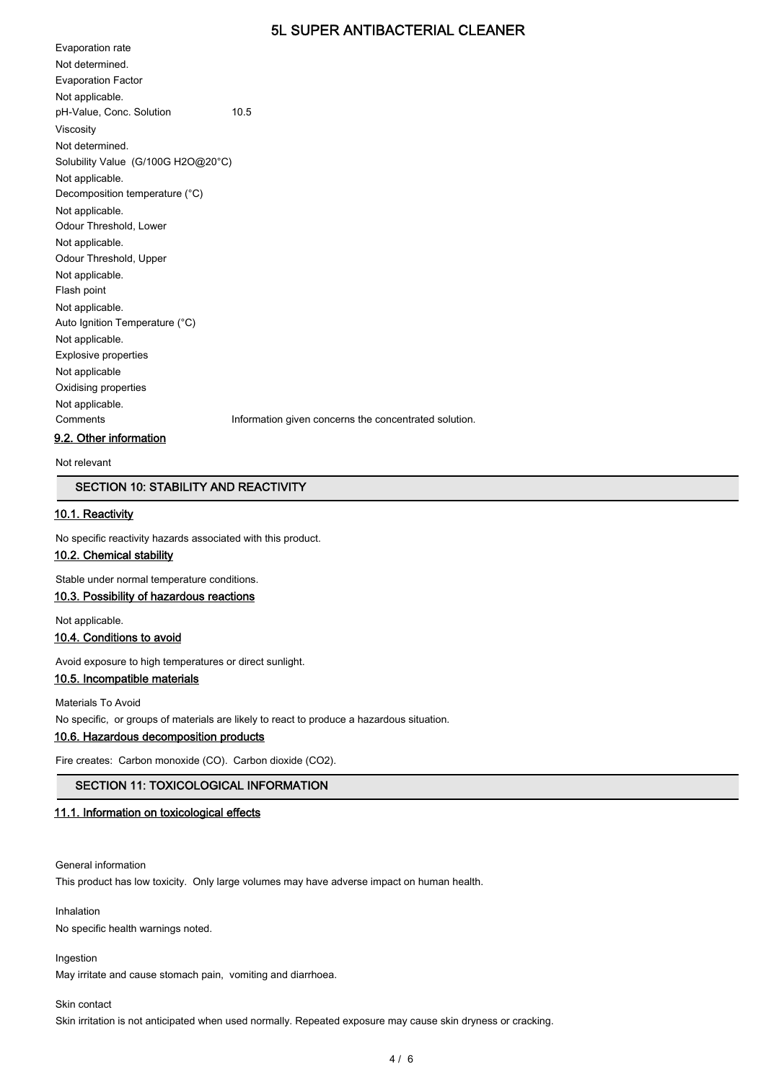Evaporation rate Not determined. Evaporation Factor Not applicable. pH-Value, Conc. Solution 10.5 Viscosity Not determined. Solubility Value (G/100G H2O@20°C) Not applicable. Decomposition temperature (°C) Not applicable. Odour Threshold, Lower Not applicable. Odour Threshold, Upper Not applicable. Flash point Not applicable. Auto Ignition Temperature (°C) Not applicable. Explosive properties Not applicable Oxidising properties Not applicable. Comments Information given concerns the concentrated solution.

## 9.2. Other information

Not relevant

#### SECTION 10: STABILITY AND REACTIVITY

#### 10.1. Reactivity

No specific reactivity hazards associated with this product.

#### 10.2. Chemical stability

Stable under normal temperature conditions.

## 10.3. Possibility of hazardous reactions

Not applicable.

#### 10.4. Conditions to avoid

Avoid exposure to high temperatures or direct sunlight.

## 10.5. Incompatible materials

Materials To Avoid

No specific, or groups of materials are likely to react to produce a hazardous situation.

## 10.6. Hazardous decomposition products

Fire creates: Carbon monoxide (CO). Carbon dioxide (CO2).

## SECTION 11: TOXICOLOGICAL INFORMATION

## 11.1. Information on toxicological effects

General information

This product has low toxicity. Only large volumes may have adverse impact on human health.

Inhalation No specific health warnings noted.

#### Ingestion

May irritate and cause stomach pain, vomiting and diarrhoea.

#### Skin contact

Skin irritation is not anticipated when used normally. Repeated exposure may cause skin dryness or cracking.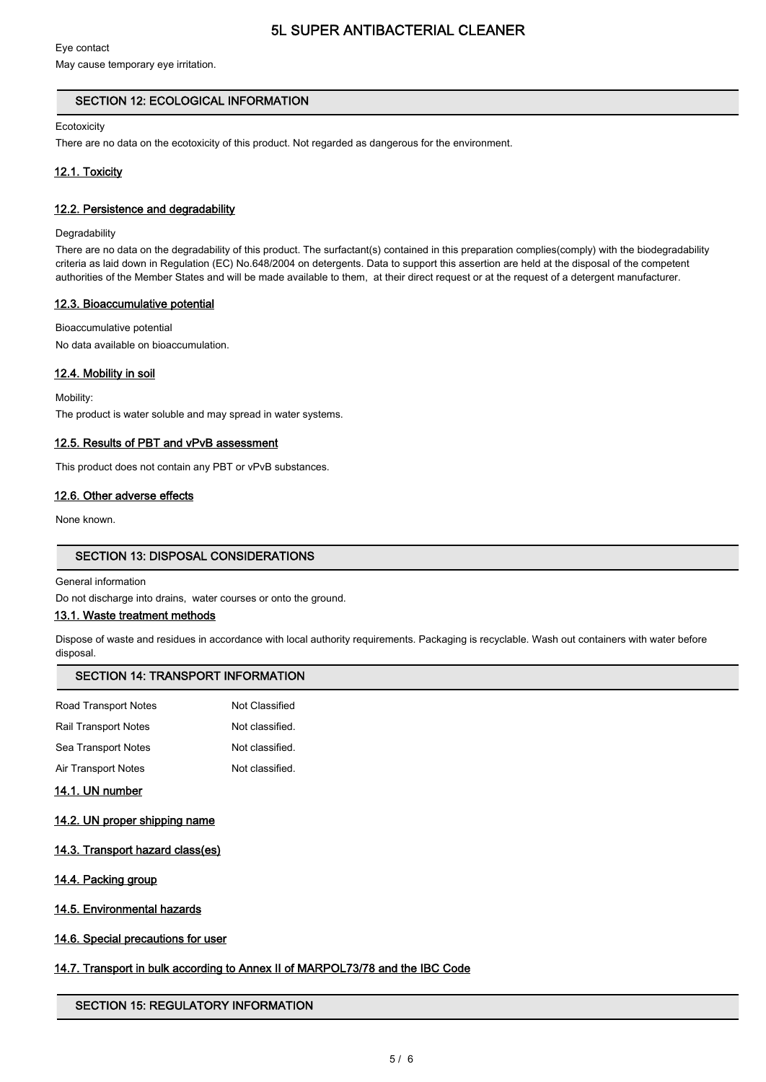## Eye contact

May cause temporary eye irritation.

## SECTION 12: ECOLOGICAL INFORMATION

#### **Ecotoxicity**

There are no data on the ecotoxicity of this product. Not regarded as dangerous for the environment.

## 12.1. Toxicity

#### 12.2. Persistence and degradability

#### **Degradability**

There are no data on the degradability of this product. The surfactant(s) contained in this preparation complies(comply) with the biodegradability criteria as laid down in Regulation (EC) No.648/2004 on detergents. Data to support this assertion are held at the disposal of the competent authorities of the Member States and will be made available to them, at their direct request or at the request of a detergent manufacturer.

## 12.3. Bioaccumulative potential

Bioaccumulative potential No data available on bioaccumulation.

## 12.4. Mobility in soil

Mobility:

The product is water soluble and may spread in water systems.

## 12.5. Results of PBT and vPvB assessment

This product does not contain any PBT or vPvB substances.

#### 12.6. Other adverse effects

None known.

#### SECTION 13: DISPOSAL CONSIDERATIONS

#### General information

Do not discharge into drains, water courses or onto the ground.

## 13.1. Waste treatment methods

Dispose of waste and residues in accordance with local authority requirements. Packaging is recyclable. Wash out containers with water before disposal.

## SECTION 14: TRANSPORT INFORMATION

| <b>Road Transport Notes</b> | Not Classified  |
|-----------------------------|-----------------|
| Rail Transport Notes        | Not classified. |
| Sea Transport Notes         | Not classified. |
| Air Transport Notes         | Not classified. |
|                             |                 |

## 14.1. UN number

- 14.2. UN proper shipping name
- 14.3. Transport hazard class(es)
- 14.4. Packing group
- 14.5. Environmental hazards
- 14.6. Special precautions for user

## 14.7. Transport in bulk according to Annex II of MARPOL73/78 and the IBC Code

#### SECTION 15: REGULATORY INFORMATION